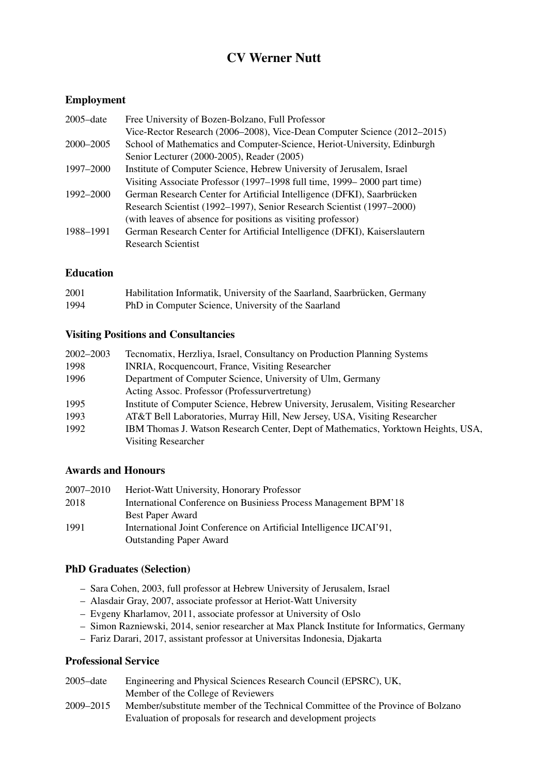# CV Werner Nutt

## Employment

| $2005$ -date | Free University of Bozen-Bolzano, Full Professor                          |
|--------------|---------------------------------------------------------------------------|
|              | Vice-Rector Research (2006–2008), Vice-Dean Computer Science (2012–2015)  |
| 2000–2005    | School of Mathematics and Computer-Science, Heriot-University, Edinburgh  |
|              | Senior Lecturer (2000-2005), Reader (2005)                                |
| 1997–2000    | Institute of Computer Science, Hebrew University of Jerusalem, Israel     |
|              | Visiting Associate Professor (1997–1998 full time, 1999–2000 part time)   |
| 1992–2000    | German Research Center for Artificial Intelligence (DFKI), Saarbrücken    |
|              | Research Scientist (1992–1997), Senior Research Scientist (1997–2000)     |
|              | (with leaves of absence for positions as visiting professor)              |
| 1988–1991    | German Research Center for Artificial Intelligence (DFKI), Kaiserslautern |
|              | <b>Research Scientist</b>                                                 |

#### Education

| 2001 | Habilitation Informatik, University of the Saarland, Saarbrücken, Germany |
|------|---------------------------------------------------------------------------|
| 1994 | PhD in Computer Science, University of the Saarland                       |

#### Visiting Positions and Consultancies

| 2002-2003 | Tecnomatix, Herzliya, Israel, Consultancy on Production Planning Systems          |
|-----------|-----------------------------------------------------------------------------------|
| 1998      | INRIA, Rocquencourt, France, Visiting Researcher                                  |
| 1996      | Department of Computer Science, University of Ulm, Germany                        |
|           | Acting Assoc. Professor (Professurvertretung)                                     |
| 1995      | Institute of Computer Science, Hebrew University, Jerusalem, Visiting Researcher  |
| 1993      | AT&T Bell Laboratories, Murray Hill, New Jersey, USA, Visiting Researcher         |
| 1992      | IBM Thomas J. Watson Research Center, Dept of Mathematics, Yorktown Heights, USA. |
|           | Visiting Researcher                                                               |

## Awards and Honours

| 2007–2010 | Heriot-Watt University, Honorary Professor                          |
|-----------|---------------------------------------------------------------------|
| 2018      | International Conference on Businiess Process Management BPM'18     |
|           | Best Paper Award                                                    |
| 1991      | International Joint Conference on Artificial Intelligence IJCAI'91, |
|           | <b>Outstanding Paper Award</b>                                      |

## PhD Graduates (Selection)

- Sara Cohen, 2003, full professor at Hebrew University of Jerusalem, Israel
- Alasdair Gray, 2007, associate professor at Heriot-Watt University
- Evgeny Kharlamov, 2011, associate professor at University of Oslo
- Simon Razniewski, 2014, senior researcher at Max Planck Institute for Informatics, Germany
- Fariz Darari, 2017, assistant professor at Universitas Indonesia, Djakarta

## Professional Service

| $2005$ -date  | Engineering and Physical Sciences Research Council (EPSRC), UK,                |
|---------------|--------------------------------------------------------------------------------|
|               | Member of the College of Reviewers                                             |
| $2009 - 2015$ | Member/substitute member of the Technical Committee of the Province of Bolzano |
|               | Evaluation of proposals for research and development projects                  |